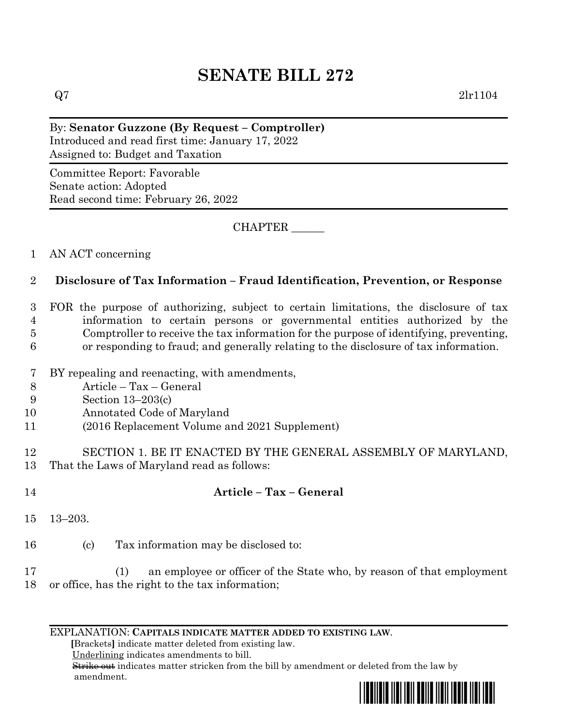# **SENATE BILL 272**

 $Q7$  2lr1104

By: **Senator Guzzone (By Request – Comptroller)** Introduced and read first time: January 17, 2022 Assigned to: Budget and Taxation

Committee Report: Favorable Senate action: Adopted Read second time: February 26, 2022

CHAPTER \_\_\_\_\_\_

## 1 AN ACT concerning

## 2 **Disclosure of Tax Information – Fraud Identification, Prevention, or Response**

 FOR the purpose of authorizing, subject to certain limitations, the disclosure of tax information to certain persons or governmental entities authorized by the Comptroller to receive the tax information for the purpose of identifying, preventing, or responding to fraud; and generally relating to the disclosure of tax information.

- 7 BY repealing and reenacting, with amendments,
- 8 Article Tax General
- 9 Section 13–203(c)
- 10 Annotated Code of Maryland
- 11 (2016 Replacement Volume and 2021 Supplement)

12 SECTION 1. BE IT ENACTED BY THE GENERAL ASSEMBLY OF MARYLAND, 13 That the Laws of Maryland read as follows:

14 **Article – Tax – General** 15 13–203. 16 (c) Tax information may be disclosed to:

17 (1) an employee or officer of the State who, by reason of that employment 18 or office, has the right to the tax information;

#### EXPLANATION: **CAPITALS INDICATE MATTER ADDED TO EXISTING LAW**.

 **[**Brackets**]** indicate matter deleted from existing law.

Underlining indicates amendments to bill.

 Strike out indicates matter stricken from the bill by amendment or deleted from the law by amendment.

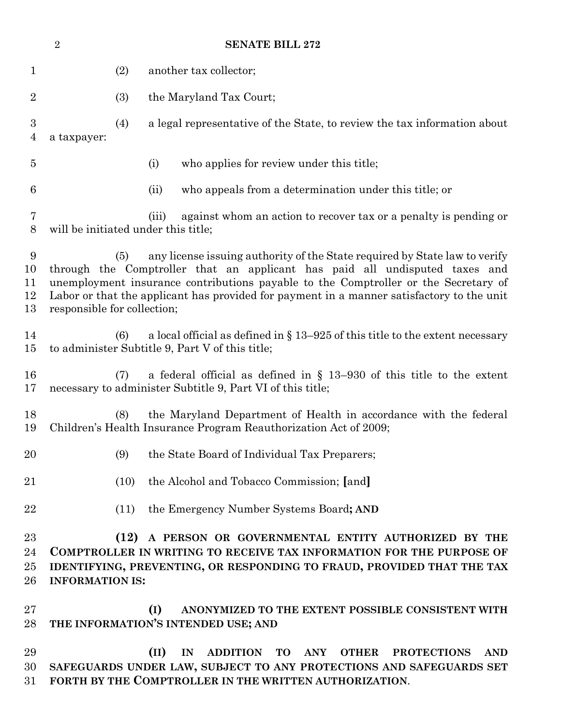| $\overline{2}$<br><b>SENATE BILL 272</b> |                                                                                                                                                                                                                                                                                                                                                                                      |      |                                                                                                                                                                                                                                               |
|------------------------------------------|--------------------------------------------------------------------------------------------------------------------------------------------------------------------------------------------------------------------------------------------------------------------------------------------------------------------------------------------------------------------------------------|------|-----------------------------------------------------------------------------------------------------------------------------------------------------------------------------------------------------------------------------------------------|
| 1                                        |                                                                                                                                                                                                                                                                                                                                                                                      | (2)  | another tax collector;                                                                                                                                                                                                                        |
| $\overline{2}$                           |                                                                                                                                                                                                                                                                                                                                                                                      | (3)  | the Maryland Tax Court;                                                                                                                                                                                                                       |
| $\boldsymbol{3}$<br>4                    | a taxpayer:                                                                                                                                                                                                                                                                                                                                                                          | (4)  | a legal representative of the State, to review the tax information about                                                                                                                                                                      |
| $\overline{5}$                           |                                                                                                                                                                                                                                                                                                                                                                                      |      | who applies for review under this title;<br>(i)                                                                                                                                                                                               |
| 6                                        |                                                                                                                                                                                                                                                                                                                                                                                      |      | who appeals from a determination under this title; or<br>(ii)                                                                                                                                                                                 |
| $\overline{7}$<br>$8\,$                  |                                                                                                                                                                                                                                                                                                                                                                                      |      | against whom an action to recover tax or a penalty is pending or<br>(iii)<br>will be initiated under this title;                                                                                                                              |
| 9<br>10<br>11<br>12<br>13                | any license is suing authority of the State required by State law to verify<br>(5)<br>through the Comptroller that an applicant has paid all undisputed taxes and<br>unemployment insurance contributions payable to the Comptroller or the Secretary of<br>Labor or that the applicant has provided for payment in a manner satisfactory to the unit<br>responsible for collection; |      |                                                                                                                                                                                                                                               |
| 14<br>15                                 |                                                                                                                                                                                                                                                                                                                                                                                      | (6)  | a local official as defined in $\S 13-925$ of this title to the extent necessary<br>to administer Subtitle 9, Part V of this title;                                                                                                           |
| 16<br>17                                 |                                                                                                                                                                                                                                                                                                                                                                                      | (7)  | a federal official as defined in $\S$ 13-930 of this title to the extent<br>necessary to administer Subtitle 9, Part VI of this title;                                                                                                        |
| 18<br>19                                 |                                                                                                                                                                                                                                                                                                                                                                                      | (8)  | the Maryland Department of Health in accordance with the federal<br>Children's Health Insurance Program Reauthorization Act of 2009;                                                                                                          |
| 20                                       |                                                                                                                                                                                                                                                                                                                                                                                      | (9)  | the State Board of Individual Tax Preparers;                                                                                                                                                                                                  |
| 21                                       |                                                                                                                                                                                                                                                                                                                                                                                      | (10) | the Alcohol and Tobacco Commission; [and]                                                                                                                                                                                                     |
| 22                                       |                                                                                                                                                                                                                                                                                                                                                                                      | (11) | the Emergency Number Systems Board; AND                                                                                                                                                                                                       |
| 23<br>24<br>25<br>26                     | (12) A PERSON OR GOVERNMENTAL ENTITY AUTHORIZED BY THE<br>COMPTROLLER IN WRITING TO RECEIVE TAX INFORMATION FOR THE PURPOSE OF<br>IDENTIFYING, PREVENTING, OR RESPONDING TO FRAUD, PROVIDED THAT THE TAX<br><b>INFORMATION IS:</b>                                                                                                                                                   |      |                                                                                                                                                                                                                                               |
| 27<br>28                                 |                                                                                                                                                                                                                                                                                                                                                                                      |      | (I)<br>ANONYMIZED TO THE EXTENT POSSIBLE CONSISTENT WITH<br>THE INFORMATION'S INTENDED USE; AND                                                                                                                                               |
| 29<br>30<br>31                           |                                                                                                                                                                                                                                                                                                                                                                                      |      | (II)<br><b>ADDITION</b><br><b>TO</b><br><b>ANY</b><br><b>OTHER</b><br><b>PROTECTIONS</b><br><b>AND</b><br>IN<br>SAFEGUARDS UNDER LAW, SUBJECT TO ANY PROTECTIONS AND SAFEGUARDS SET<br>FORTH BY THE COMPTROLLER IN THE WRITTEN AUTHORIZATION. |